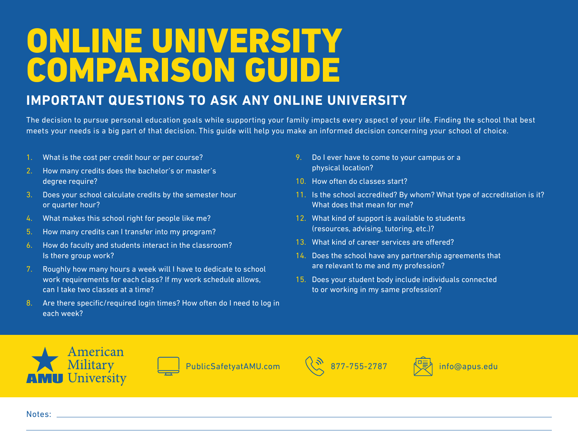## ONLINE UNIVERSITY COMPARISON GUIDE

## **IMPORTANT QUESTIONS TO ASK ANY ONLINE UNIVERSITY**

The decision to pursue personal education goals while supporting your family impacts every aspect of your life. Finding the school that best meets your needs is a big part of that decision. This guide will help you make an informed decision concerning your school of choice.

- 1. What is the cost per credit hour or per course?
- 2. How many credits does the bachelor's or master's degree require?
- 3. Does your school calculate credits by the semester hour or quarter hour?
- 4. What makes this school right for people like me?
- 5. How many credits can I transfer into my program?
- 6. How do faculty and students interact in the classroom? Is there group work?
- 7. Roughly how many hours a week will I have to dedicate to school work requirements for each class? If my work schedule allows, can I take two classes at a time?
- 8. Are there specific/required login times? How often do I need to log in each week?
- 9. Do I ever have to come to your campus or a physical location?
- 10. How often do classes start?
- 11. Is the school accredited? By whom? What type of accreditation is it? What does that mean for me?
- 12. What kind of support is available to students (resources, advising, tutoring, etc.)?
- 13. What kind of career services are offered?
- 14. Does the school have any partnership agreements that are relevant to me and my profession?
- 15. Does your student body include individuals connected to or working in my same profession?









Notes: